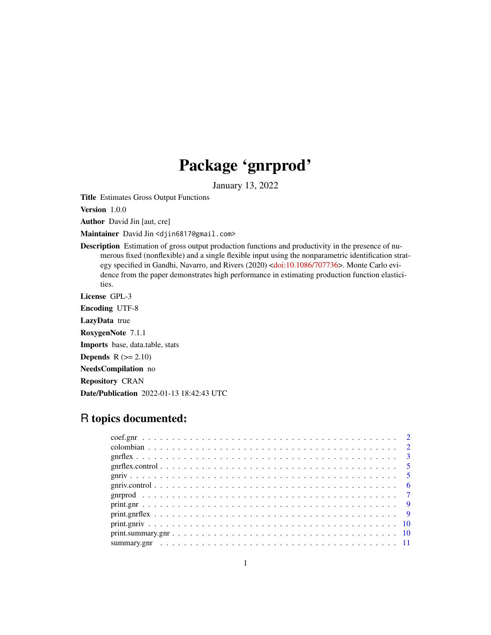## Package 'gnrprod'

January 13, 2022

<span id="page-0-0"></span>Title Estimates Gross Output Functions

Version 1.0.0

Author David Jin [aut, cre]

Maintainer David Jin <djin6817@gmail.com>

Description Estimation of gross output production functions and productivity in the presence of numerous fixed (nonflexible) and a single flexible input using the nonparametric identification strategy specified in Gandhi, Navarro, and Rivers (2020) [<doi:10.1086/707736>](https://doi.org/10.1086/707736). Monte Carlo evidence from the paper demonstrates high performance in estimating production function elasticities.

License GPL-3

Encoding UTF-8

LazyData true

RoxygenNote 7.1.1

Imports base, data.table, stats

**Depends**  $R$  ( $>= 2.10$ )

NeedsCompilation no

Repository CRAN

Date/Publication 2022-01-13 18:42:43 UTC

### R topics documented: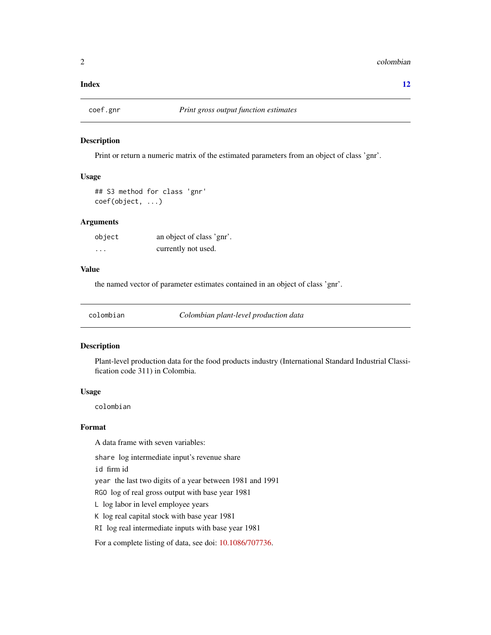#### <span id="page-1-0"></span>**Index** [12](#page-11-0)

#### Description

Print or return a numeric matrix of the estimated parameters from an object of class 'gnr'.

#### Usage

```
## S3 method for class 'gnr'
coef(object, ...)
```
#### **Arguments**

| object   | an object of class 'gnr'. |
|----------|---------------------------|
| $\cdots$ | currently not used.       |

#### Value

the named vector of parameter estimates contained in an object of class 'gnr'.

colombian *Colombian plant-level production data*

#### Description

Plant-level production data for the food products industry (International Standard Industrial Classification code 311) in Colombia.

#### Usage

colombian

#### Format

A data frame with seven variables:

share log intermediate input's revenue share

id firm id

year the last two digits of a year between 1981 and 1991

RGO log of real gross output with base year 1981

L log labor in level employee years

K log real capital stock with base year 1981

RI log real intermediate inputs with base year 1981

For a complete listing of data, see doi: [10.1086/707736.](https://doi.org/10.1086/707736)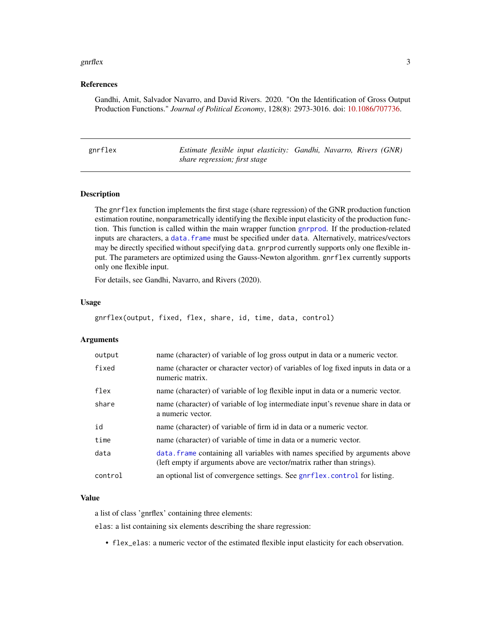#### <span id="page-2-0"></span>gnrflex 3

#### References

Gandhi, Amit, Salvador Navarro, and David Rivers. 2020. "On the Identification of Gross Output Production Functions." *Journal of Political Economy*, 128(8): 2973-3016. doi: [10.1086/707736.](https://doi.org/10.1086/707736)

<span id="page-2-1"></span>

| gnrflex |  |  |
|---------|--|--|
|         |  |  |
|         |  |  |
|         |  |  |
|         |  |  |

Estimate flexible input elasticity: Gandhi, Navarro, Rivers (GNR) *share regression; first stage*

#### Description

The gnrflex function implements the first stage (share regression) of the GNR production function estimation routine, nonparametrically identifying the flexible input elasticity of the production function. This function is called within the main wrapper function [gnrprod](#page-6-1). If the production-related inputs are characters, a [data.frame](#page-0-0) must be specified under data. Alternatively, matrices/vectors may be directly specified without specifying data. gnrprod currently supports only one flexible input. The parameters are optimized using the Gauss-Newton algorithm. gnrflex currently supports only one flexible input.

For details, see Gandhi, Navarro, and Rivers (2020).

#### Usage

gnrflex(output, fixed, flex, share, id, time, data, control)

#### Arguments

| output  | name (character) of variable of log gross output in data or a numeric vector.                                                                          |
|---------|--------------------------------------------------------------------------------------------------------------------------------------------------------|
| fixed   | name (character or character vector) of variables of log fixed inputs in data or a<br>numeric matrix.                                                  |
| flex    | name (character) of variable of log flexible input in data or a numeric vector.                                                                        |
| share   | name (character) of variable of log intermediate input's revenue share in data or<br>a numeric vector.                                                 |
| id      | name (character) of variable of firm id in data or a numeric vector.                                                                                   |
| time    | name (character) of variable of time in data or a numeric vector.                                                                                      |
| data    | data. frame containing all variables with names specified by arguments above<br>(left empty if arguments above are vector/matrix rather than strings). |
| control | an optional list of convergence settings. See gnrflex.control for listing.                                                                             |

#### Value

a list of class 'gnrflex' containing three elements:

elas: a list containing six elements describing the share regression:

• flex\_elas: a numeric vector of the estimated flexible input elasticity for each observation.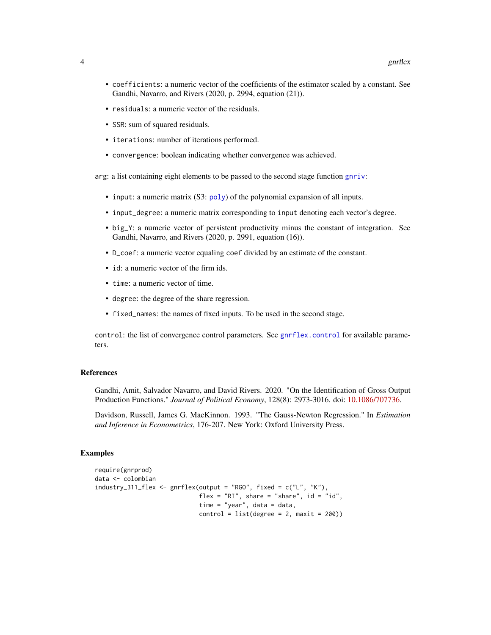- <span id="page-3-0"></span>• coefficients: a numeric vector of the coefficients of the estimator scaled by a constant. See Gandhi, Navarro, and Rivers (2020, p. 2994, equation (21)).
- residuals: a numeric vector of the residuals.
- SSR: sum of squared residuals.
- iterations: number of iterations performed.
- convergence: boolean indicating whether convergence was achieved.

arg: a list containing eight elements to be passed to the second stage function [gnriv](#page-4-2):

- input: a numeric matrix (S3: [poly](#page-0-0)) of the polynomial expansion of all inputs.
- input\_degree: a numeric matrix corresponding to input denoting each vector's degree.
- big\_Y: a numeric vector of persistent productivity minus the constant of integration. See Gandhi, Navarro, and Rivers (2020, p. 2991, equation (16)).
- D\_coef: a numeric vector equaling coef divided by an estimate of the constant.
- id: a numeric vector of the firm ids.
- time: a numeric vector of time.
- degree: the degree of the share regression.
- fixed\_names: the names of fixed inputs. To be used in the second stage.

control: the list of convergence control parameters. See [gnrflex.control](#page-4-1) for available parameters.

#### References

Gandhi, Amit, Salvador Navarro, and David Rivers. 2020. "On the Identification of Gross Output Production Functions." *Journal of Political Economy*, 128(8): 2973-3016. doi: [10.1086/707736.](https://doi.org/10.1086/707736)

Davidson, Russell, James G. MacKinnon. 1993. "The Gauss-Newton Regression." In *Estimation and Inference in Econometrics*, 176-207. New York: Oxford University Press.

#### Examples

```
require(gnrprod)
data <- colombian
industry_311_flex <- gnrflex(output = "RGO", fixed = c("L", "K"),
                            flex = "RI", share = "share", id = "id",time = "year", data = data,
                            control = list(deg = 2, maxit = 200)
```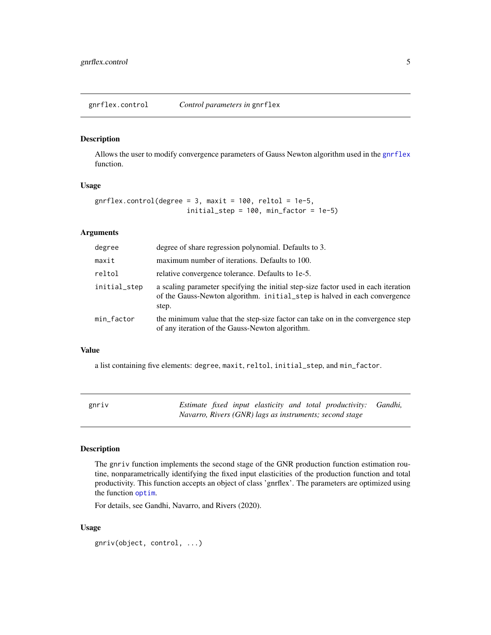<span id="page-4-1"></span><span id="page-4-0"></span>gnrflex.control *Control parameters in* gnrflex

#### Description

Allows the user to modify convergence parameters of Gauss Newton algorithm used in the [gnrflex](#page-2-1) function.

#### Usage

```
gnrflex.control(degree = 3, maxit = 100, reltol = 1e-5,
                       initial_step = 100, min_factor = 1e-5)
```
#### Arguments

| degree       | degree of share regression polynomial. Defaults to 3.                                                                                                                    |
|--------------|--------------------------------------------------------------------------------------------------------------------------------------------------------------------------|
| maxit        | maximum number of iterations. Defaults to 100.                                                                                                                           |
| reltol       | relative convergence tolerance. Defaults to 1e-5.                                                                                                                        |
| initial_step | a scaling parameter specifying the initial step-size factor used in each iteration<br>of the Gauss-Newton algorithm. initial_step is halved in each convergence<br>step. |
| min_factor   | the minimum value that the step-size factor can take on in the convergence step<br>of any iteration of the Gauss-Newton algorithm.                                       |

#### Value

a list containing five elements: degree, maxit, reltol, initial\_step, and min\_factor.

<span id="page-4-2"></span>

| gnriv |  |  |  | Estimate fixed input elasticity and total productivity: Gandhi, |  |
|-------|--|--|--|-----------------------------------------------------------------|--|
|       |  |  |  | Navarro, Rivers (GNR) lags as instruments; second stage         |  |

#### Description

The gnriv function implements the second stage of the GNR production function estimation routine, nonparametrically identifying the fixed input elasticities of the production function and total productivity. This function accepts an object of class 'gnrflex'. The parameters are optimized using the function [optim](#page-0-0).

For details, see Gandhi, Navarro, and Rivers (2020).

#### Usage

gnriv(object, control, ...)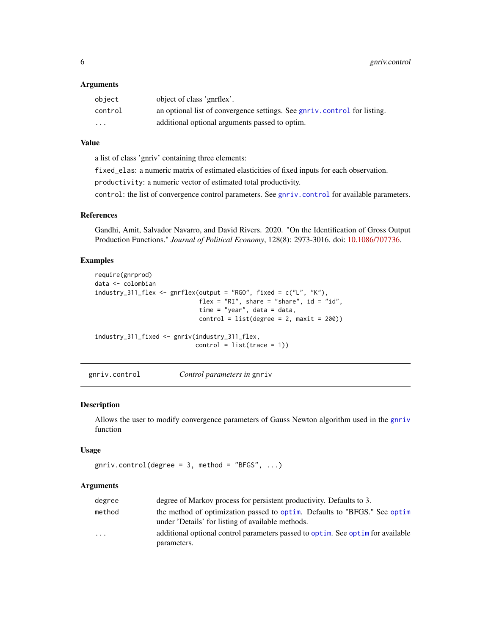#### <span id="page-5-0"></span>**Arguments**

| object                  | object of class 'gnrflex'.                                               |
|-------------------------|--------------------------------------------------------------------------|
| control                 | an optional list of convergence settings. See gnriv.control for listing. |
| $\cdot$ $\cdot$ $\cdot$ | additional optional arguments passed to optim.                           |

#### Value

a list of class 'gnriv' containing three elements:

fixed\_elas: a numeric matrix of estimated elasticities of fixed inputs for each observation.

productivity: a numeric vector of estimated total productivity.

control: the list of convergence control parameters. See [gnriv.control](#page-5-1) for available parameters.

#### References

Gandhi, Amit, Salvador Navarro, and David Rivers. 2020. "On the Identification of Gross Output Production Functions." *Journal of Political Economy*, 128(8): 2973-3016. doi: [10.1086/707736.](https://doi.org/10.1086/707736)

#### Examples

```
require(gnrprod)
data <- colombian
industry_311_flex <- gnrflex(output = "RGO", fixed = c("L", "K"),
                            flex = "RI", share = "share", id = "id",time = "year", data = data,
                            control = list(degree = 2, maxit = 200)industry_311_fixed <- gnriv(industry_311_flex,
                           control = list(true = 1)
```
<span id="page-5-1"></span>gnriv.control *Control parameters in* gnriv

#### Description

Allows the user to modify convergence parameters of Gauss Newton algorithm used in the [gnriv](#page-4-2) function

#### Usage

```
gnriv.contrib(degree = 3, method = "BFGS", ...)
```
#### Arguments

| degree  | degree of Markov process for persistent productivity. Defaults to 3.                                                           |
|---------|--------------------------------------------------------------------------------------------------------------------------------|
| method  | the method of optimization passed to optim. Defaults to "BFGS." See optim<br>under 'Details' for listing of available methods. |
| $\cdot$ | additional optional control parameters passed to optim. See optim for available<br>parameters.                                 |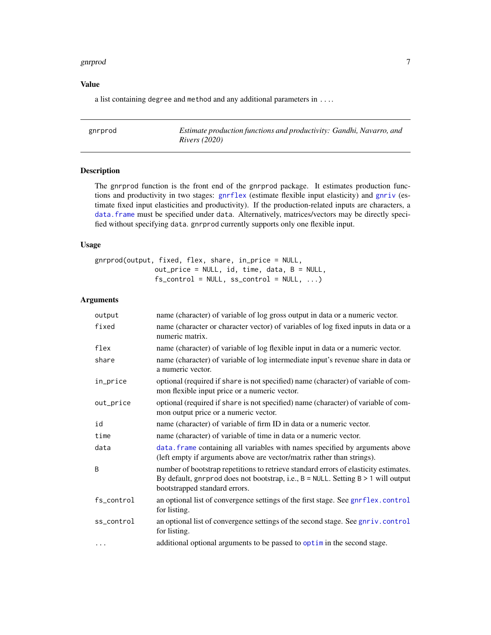#### <span id="page-6-0"></span>gnrprod that the contract of the contract of the contract of the contract of the contract of the contract of the contract of the contract of the contract of the contract of the contract of the contract of the contract of t

#### Value

a list containing degree and method and any additional parameters in ....

<span id="page-6-1"></span>gnrprod *Estimate production functions and productivity: Gandhi, Navarro, and Rivers (2020)*

#### Description

The gnrprod function is the front end of the gnrprod package. It estimates production functions and productivity in two stages: [gnrflex](#page-2-1) (estimate flexible input elasticity) and [gnriv](#page-4-2) (estimate fixed input elasticities and productivity). If the production-related inputs are characters, a [data.frame](#page-0-0) must be specified under data. Alternatively, matrices/vectors may be directly specified without specifying data. gnrprod currently supports only one flexible input.

#### Usage

```
gnrprod(output, fixed, flex, share, in_price = NULL,
               out_price = NULL, id, time, data, B = NULL,
               fs\_control = NULL, ss\_control = NULL, ...
```
#### Arguments

| output     | name (character) of variable of log gross output in data or a numeric vector.                                                                                                                              |
|------------|------------------------------------------------------------------------------------------------------------------------------------------------------------------------------------------------------------|
| fixed      | name (character or character vector) of variables of log fixed inputs in data or a<br>numeric matrix.                                                                                                      |
| flex       | name (character) of variable of log flexible input in data or a numeric vector.                                                                                                                            |
| share      | name (character) of variable of log intermediate input's revenue share in data or<br>a numeric vector.                                                                                                     |
| in_price   | optional (required if share is not specified) name (character) of variable of com-<br>mon flexible input price or a numeric vector.                                                                        |
| out_price  | optional (required if share is not specified) name (character) of variable of com-<br>mon output price or a numeric vector.                                                                                |
| id         | name (character) of variable of firm ID in data or a numeric vector.                                                                                                                                       |
| time       | name (character) of variable of time in data or a numeric vector.                                                                                                                                          |
| data       | data. frame containing all variables with names specified by arguments above<br>(left empty if arguments above are vector/matrix rather than strings).                                                     |
| B          | number of bootstrap repetitions to retrieve standard errors of elasticity estimates.<br>By default, gnrprod does not bootstrap, i.e., B = NULL. Setting B > 1 will output<br>bootstrapped standard errors. |
| fs_control | an optional list of convergence settings of the first stage. See gnrflex.control<br>for listing.                                                                                                           |
| ss_control | an optional list of convergence settings of the second stage. See gnriv.control<br>for listing.                                                                                                            |
| $\cdots$   | additional optional arguments to be passed to optim in the second stage.                                                                                                                                   |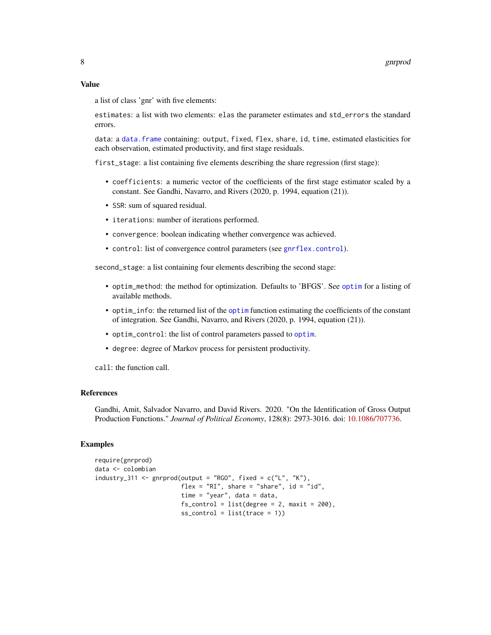#### <span id="page-7-0"></span>Value

a list of class 'gnr' with five elements:

estimates: a list with two elements: elas the parameter estimates and std\_errors the standard errors.

data: a [data.frame](#page-0-0) containing: output, fixed, flex, share, id, time, estimated elasticities for each observation, estimated productivity, and first stage residuals.

first\_stage: a list containing five elements describing the share regression (first stage):

- coefficients: a numeric vector of the coefficients of the first stage estimator scaled by a constant. See Gandhi, Navarro, and Rivers (2020, p. 1994, equation (21)).
- SSR: sum of squared residual.
- iterations: number of iterations performed.
- convergence: boolean indicating whether convergence was achieved.
- control: list of convergence control parameters (see [gnrflex.control](#page-4-1)).

second\_stage: a list containing four elements describing the second stage:

- optim\_method: the method for optimization. Defaults to 'BFGS'. See [optim](#page-0-0) for a listing of available methods.
- optim\_info: the returned list of the [optim](#page-0-0) function estimating the coefficients of the constant of integration. See Gandhi, Navarro, and Rivers (2020, p. 1994, equation (21)).
- optim\_control: the list of control parameters passed to [optim](#page-0-0).
- degree: degree of Markov process for persistent productivity.

call: the function call.

#### References

Gandhi, Amit, Salvador Navarro, and David Rivers. 2020. "On the Identification of Gross Output Production Functions." *Journal of Political Economy*, 128(8): 2973-3016. doi: [10.1086/707736.](https://doi.org/10.1086/707736)

#### Examples

```
require(gnrprod)
data <- colombian
industry_311 <- gnrprod(output = "RGO", fixed = c("L", "K"),
                        flex = "RI", share = "share", id = "id",time = "year", data = data,
                        fs\_control = list(degree = 2, maxit = 200).ss\_control = list(true = 1)
```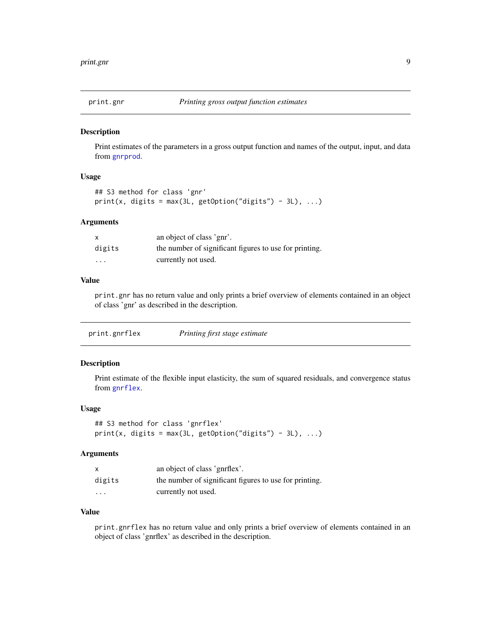<span id="page-8-0"></span>

#### Description

Print estimates of the parameters in a gross output function and names of the output, input, and data from [gnrprod](#page-6-1).

#### Usage

```
## S3 method for class 'gnr'
print(x, digits = max(3L, getOption("digits") - 3L), ...)
```
#### Arguments

| $\boldsymbol{\mathsf{x}}$ | an object of class 'gnr'.                              |
|---------------------------|--------------------------------------------------------|
| digits                    | the number of significant figures to use for printing. |
| $\cdot$ $\cdot$ $\cdot$   | currently not used.                                    |

#### Value

print.gnr has no return value and only prints a brief overview of elements contained in an object of class 'gnr' as described in the description.

| Printing first stage estimate<br>print.gnrflex |
|------------------------------------------------|
|------------------------------------------------|

#### Description

Print estimate of the flexible input elasticity, the sum of squared residuals, and convergence status from [gnrflex](#page-2-1).

#### Usage

```
## S3 method for class 'gnrflex'
print(x, digits = max(3L, getOption("digits") - 3L), ...)
```
#### Arguments

|          | an object of class 'gnrflex'.                          |
|----------|--------------------------------------------------------|
| digits   | the number of significant figures to use for printing. |
| $\cdots$ | currently not used.                                    |

#### Value

print.gnrflex has no return value and only prints a brief overview of elements contained in an object of class 'gnrflex' as described in the description.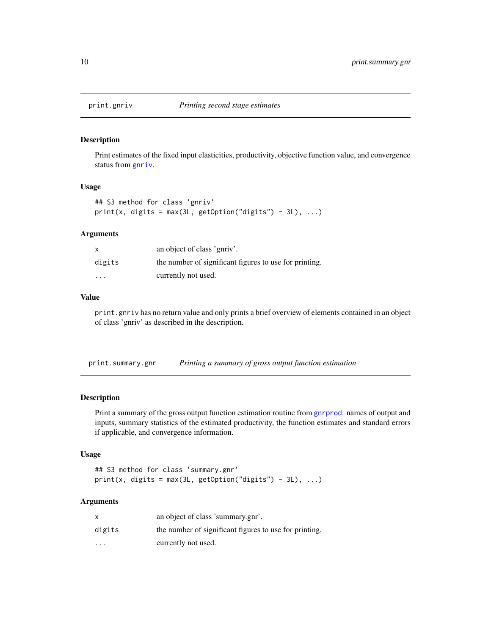<span id="page-9-0"></span>

#### Description

Print estimates of the fixed input elasticities, productivity, objective function value, and convergence status from [gnriv](#page-4-2).

#### Usage

```
## S3 method for class 'gnriv'
print(x, \text{ digits} = max(3L, \text{ getOption("digits") - 3L), ...)
```
#### Arguments

| x       | an object of class 'gnriv'.                            |
|---------|--------------------------------------------------------|
| digits  | the number of significant figures to use for printing. |
| $\cdot$ | currently not used.                                    |

#### Value

print.gnriv has no return value and only prints a brief overview of elements contained in an object of class 'gnriv' as described in the description.

| print.summary.gnr |  | Printing a summary of gross output function estimation |  |
|-------------------|--|--------------------------------------------------------|--|
|                   |  |                                                        |  |

#### Description

Print a summary of the gross output function estimation routine from [gnrprod](#page-6-1): names of output and inputs, summary statistics of the estimated productivity, the function estimates and standard errors if applicable, and convergence information.

#### Usage

```
## S3 method for class 'summary.gnr'
print(x, digits = max(3L, getOption("digits") - 3L), ...)
```
#### Arguments

| x       | an object of class 'summary.gnr'.                      |
|---------|--------------------------------------------------------|
| digits  | the number of significant figures to use for printing. |
| $\cdot$ | currently not used.                                    |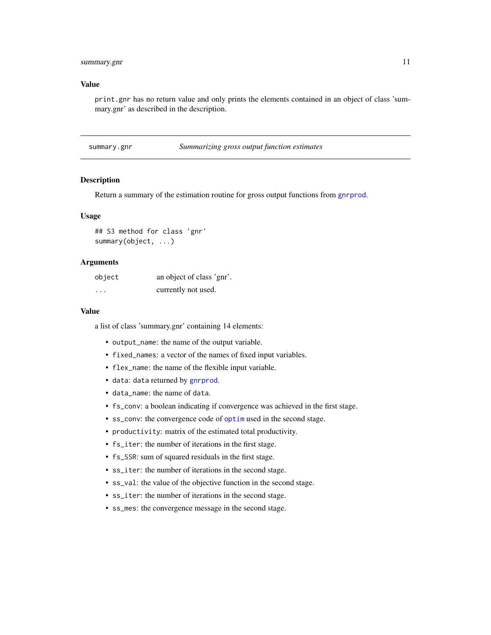#### <span id="page-10-0"></span>summary.gnr 11

#### Value

print.gnr has no return value and only prints the elements contained in an object of class 'summary.gnr' as described in the description.

summary.gnr *Summarizing gross output function estimates*

#### Description

Return a summary of the estimation routine for gross output functions from [gnrprod](#page-6-1).

#### Usage

```
## S3 method for class 'gnr'
summary(object, ...)
```
#### Arguments

| object   | an object of class 'gnr'. |
|----------|---------------------------|
| $\cdots$ | currently not used.       |

#### Value

a list of class 'summary.gnr' containing 14 elements:

- output\_name: the name of the output variable.
- fixed\_names: a vector of the names of fixed input variables.
- flex\_name: the name of the flexible input variable.
- data: data returned by [gnrprod](#page-6-1).
- data\_name: the name of data.
- fs\_conv: a boolean indicating if convergence was achieved in the first stage.
- ss\_conv: the convergence code of [optim](#page-0-0) used in the second stage.
- productivity: matrix of the estimated total productivity.
- fs\_iter: the number of iterations in the first stage.
- fs\_SSR: sum of squared residuals in the first stage.
- ss\_iter: the number of iterations in the second stage.
- ss\_val: the value of the objective function in the second stage.
- ss\_iter: the number of iterations in the second stage.
- ss\_mes: the convergence message in the second stage.